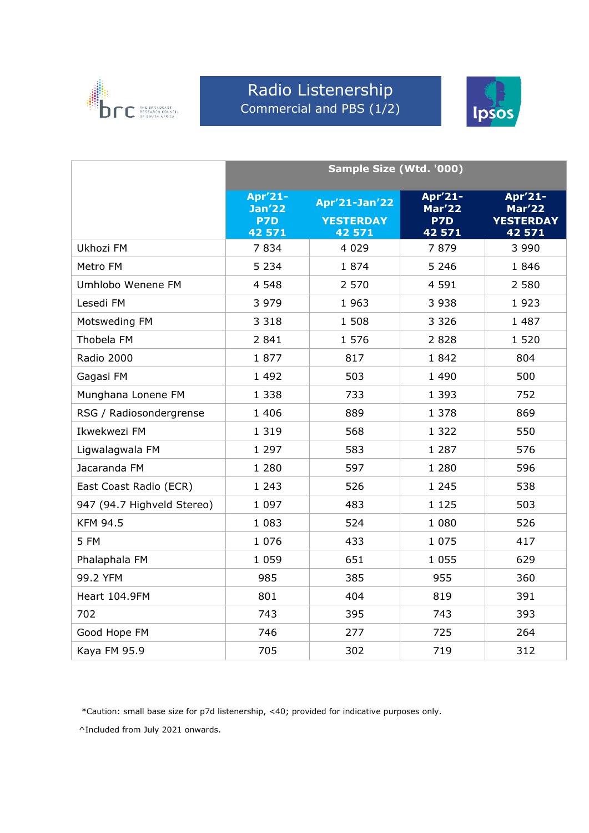

#### Radio Listenership Commercial and PBS (1/2)



|                            | Sample Size (Wtd. '000)                         |                                                    |                                           |                                                        |  |
|----------------------------|-------------------------------------------------|----------------------------------------------------|-------------------------------------------|--------------------------------------------------------|--|
|                            | Apr'21-<br>Jan <sup>7</sup> 22<br>P7D<br>42 571 | <b>Apr'21-Jan'22</b><br><b>YESTERDAY</b><br>42 571 | Apr'21-<br><b>Mar'22</b><br>P7D<br>42 571 | Apr'21-<br><b>Mar'22</b><br><b>YESTERDAY</b><br>42 571 |  |
| Ukhozi FM                  | 7834                                            | 4 0 2 9                                            | 7879                                      | 3 9 9 0                                                |  |
| Metro FM                   | 5 2 3 4                                         | 1874                                               | 5 2 4 6                                   | 1846                                                   |  |
| Umhlobo Wenene FM          | 4 5 4 8                                         | 2 570                                              | 4 5 9 1                                   | 2 5 8 0                                                |  |
| Lesedi FM                  | 3 9 7 9                                         | 1 9 6 3                                            | 3 9 3 8                                   | 1923                                                   |  |
| Motsweding FM              | 3 3 1 8                                         | 1 5 0 8                                            | 3 3 2 6                                   | 1 4 8 7                                                |  |
| Thobela FM                 | 2 8 4 1                                         | 1 576                                              | 2828                                      | 1 5 2 0                                                |  |
| Radio 2000                 | 1877                                            | 817                                                | 1842                                      | 804                                                    |  |
| Gagasi FM                  | 1 4 9 2                                         | 503                                                | 1 4 9 0                                   | 500                                                    |  |
| Munghana Lonene FM         | 1 3 3 8                                         | 733                                                | 1 3 9 3                                   | 752                                                    |  |
| RSG / Radiosondergrense    | 1 4 0 6                                         | 889                                                | 1 378                                     | 869                                                    |  |
| Ikwekwezi FM               | 1 3 1 9                                         | 568                                                | 1 3 2 2                                   | 550                                                    |  |
| Ligwalagwala FM            | 1 2 9 7                                         | 583                                                | 1 2 8 7                                   | 576                                                    |  |
| Jacaranda FM               | 1 2 8 0                                         | 597                                                | 1 2 8 0                                   | 596                                                    |  |
| East Coast Radio (ECR)     | 1 2 4 3                                         | 526                                                | 1 2 4 5                                   | 538                                                    |  |
| 947 (94.7 Highveld Stereo) | 1 0 9 7                                         | 483                                                | 1 1 2 5                                   | 503                                                    |  |
| <b>KFM 94.5</b>            | 1 0 8 3                                         | 524                                                | 1 0 8 0                                   | 526                                                    |  |
| 5 FM                       | 1 0 7 6                                         | 433                                                | 1 0 7 5                                   | 417                                                    |  |
| Phalaphala FM              | 1 0 5 9                                         | 651                                                | 1 0 5 5                                   | 629                                                    |  |
| 99.2 YFM                   | 985                                             | 385                                                | 955                                       | 360                                                    |  |
| Heart 104.9FM              | 801                                             | 404                                                | 819                                       | 391                                                    |  |
| 702                        | 743                                             | 395                                                | 743                                       | 393                                                    |  |
| Good Hope FM               | 746                                             | 277                                                | 725                                       | 264                                                    |  |
| Kaya FM 95.9               | 705                                             | 302                                                | 719                                       | 312                                                    |  |

\*Caution: small base size for p7d listenership, <40; provided for indicative purposes only.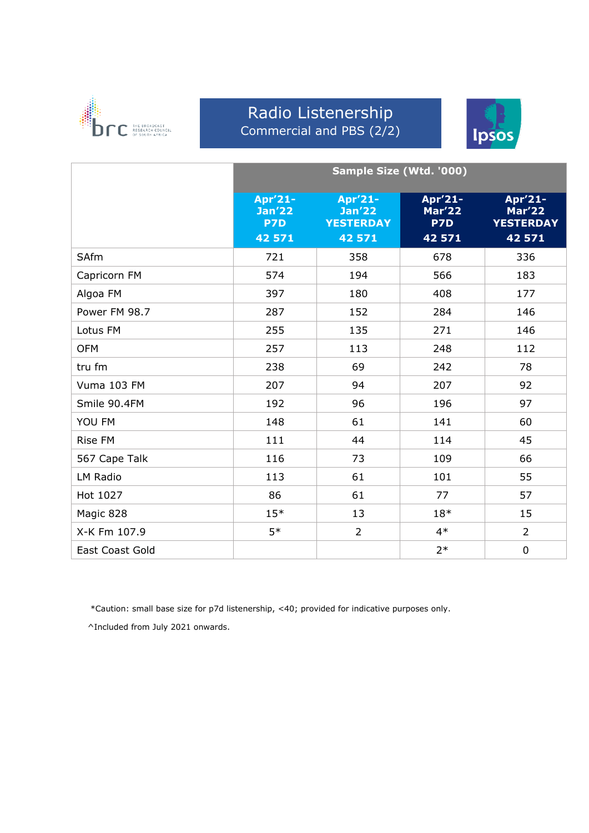

#### Radio Listenership Commercial and PBS (2/2)



|                 | Sample Size (Wtd. '000)                   |                                                        |                                           |                                                        |
|-----------------|-------------------------------------------|--------------------------------------------------------|-------------------------------------------|--------------------------------------------------------|
|                 | Apr'21-<br><b>Jan'22</b><br>P7D<br>42 571 | Apr'21-<br><b>Jan'22</b><br><b>YESTERDAY</b><br>42 571 | Apr'21-<br><b>Mar'22</b><br>P7D<br>42 571 | Apr'21-<br><b>Mar'22</b><br><b>YESTERDAY</b><br>42 571 |
| SAfm            | 721                                       | 358                                                    | 678                                       | 336                                                    |
| Capricorn FM    | 574                                       | 194                                                    | 566                                       | 183                                                    |
| Algoa FM        | 397                                       | 180                                                    | 408                                       | 177                                                    |
| Power FM 98.7   | 287                                       | 152                                                    | 284                                       | 146                                                    |
| Lotus FM        | 255                                       | 135                                                    | 271                                       | 146                                                    |
| <b>OFM</b>      | 257                                       | 113                                                    | 248                                       | 112                                                    |
| tru fm          | 238                                       | 69                                                     | 242                                       | 78                                                     |
| Vuma 103 FM     | 207                                       | 94                                                     | 207                                       | 92                                                     |
| Smile 90.4FM    | 192                                       | 96                                                     | 196                                       | 97                                                     |
| YOU FM          | 148                                       | 61                                                     | 141                                       | 60                                                     |
| <b>Rise FM</b>  | 111                                       | 44                                                     | 114                                       | 45                                                     |
| 567 Cape Talk   | 116                                       | 73                                                     | 109                                       | 66                                                     |
| LM Radio        | 113                                       | 61                                                     | 101                                       | 55                                                     |
| Hot 1027        | 86                                        | 61                                                     | 77                                        | 57                                                     |
| Magic 828       | $15*$                                     | 13                                                     | $18*$                                     | 15                                                     |
| X-K Fm 107.9    | $5*$                                      | $\overline{2}$                                         | $4*$                                      | $\overline{2}$                                         |
| East Coast Gold |                                           |                                                        | $2*$                                      | 0                                                      |

\*Caution: small base size for p7d listenership, <40; provided for indicative purposes only.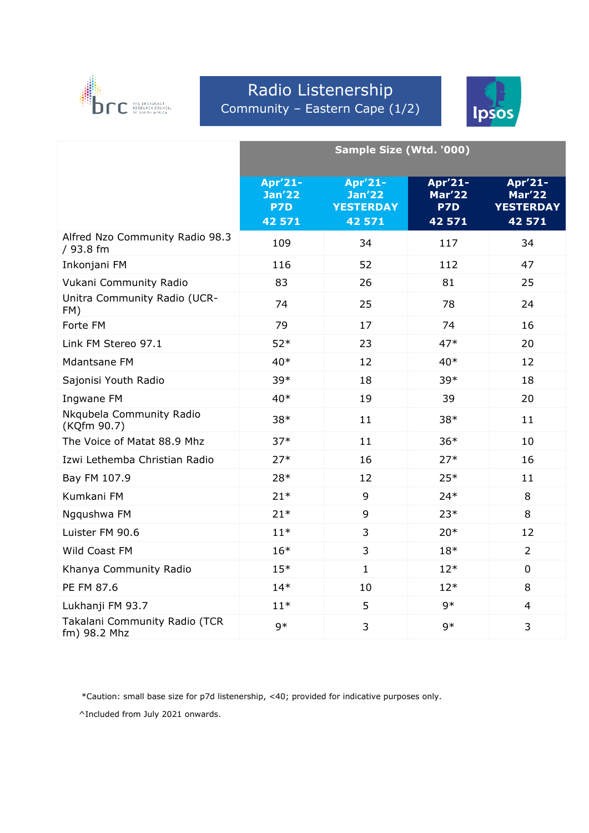

# Radio Listenership Community – Eastern Cape (1/2)



|                                               | Sample Size (Wtd. '000)                   |                                                        |                                           |                                                        |  |
|-----------------------------------------------|-------------------------------------------|--------------------------------------------------------|-------------------------------------------|--------------------------------------------------------|--|
|                                               | Apr'21-<br><b>Jan'22</b><br>P7D<br>42 571 | Apr'21-<br><b>Jan'22</b><br><b>YESTERDAY</b><br>42 571 | Apr'21-<br><b>Mar'22</b><br>P7D<br>42 571 | Apr'21-<br><b>Mar'22</b><br><b>YESTERDAY</b><br>42 571 |  |
| Alfred Nzo Community Radio 98.3<br>/ 93.8 fm  | 109                                       | 34                                                     | 117                                       | 34                                                     |  |
| Inkonjani FM                                  | 116                                       | 52                                                     | 112                                       | 47                                                     |  |
| Vukani Community Radio                        | 83                                        | 26                                                     | 81                                        | 25                                                     |  |
| Unitra Community Radio (UCR-<br>FM)           | 74                                        | 25                                                     | 78                                        | 24                                                     |  |
| Forte FM                                      | 79                                        | 17                                                     | 74                                        | 16                                                     |  |
| Link FM Stereo 97.1                           | $52*$                                     | 23                                                     | $47*$                                     | 20                                                     |  |
| Mdantsane FM                                  | $40*$                                     | 12                                                     | $40*$                                     | 12                                                     |  |
| Sajonisi Youth Radio                          | 39*                                       | 18                                                     | 39*                                       | 18                                                     |  |
| Ingwane FM                                    | $40*$                                     | 19                                                     | 39                                        | 20                                                     |  |
| Nkqubela Community Radio<br>(KQfm 90.7)       | $38*$                                     | 11                                                     | 38*                                       | 11                                                     |  |
| The Voice of Matat 88.9 Mhz                   | $37*$                                     | 11                                                     | $36*$                                     | 10                                                     |  |
| Izwi Lethemba Christian Radio                 | $27*$                                     | 16                                                     | $27*$                                     | 16                                                     |  |
| Bay FM 107.9                                  | 28*                                       | 12                                                     | $25*$                                     | 11                                                     |  |
| Kumkani FM                                    | $21*$                                     | 9                                                      | $24*$                                     | 8                                                      |  |
| Ngqushwa FM                                   | $21*$                                     | 9                                                      | $23*$                                     | 8                                                      |  |
| Luister FM 90.6                               | $11*$                                     | 3                                                      | $20*$                                     | 12                                                     |  |
| Wild Coast FM                                 | $16*$                                     | 3                                                      | $18*$                                     | $\overline{2}$                                         |  |
| Khanya Community Radio                        | $15*$                                     | $\mathbf{1}$                                           | $12*$                                     | $\mathbf 0$                                            |  |
| PE FM 87.6                                    | $14*$                                     | 10                                                     | $12*$                                     | 8                                                      |  |
| Lukhanji FM 93.7                              | $11*$                                     | 5                                                      | $9*$                                      | $\overline{4}$                                         |  |
| Takalani Community Radio (TCR<br>fm) 98.2 Mhz | $9*$                                      | 3                                                      | $9*$                                      | 3                                                      |  |

\*Caution: small base size for p7d listenership, <40; provided for indicative purposes only.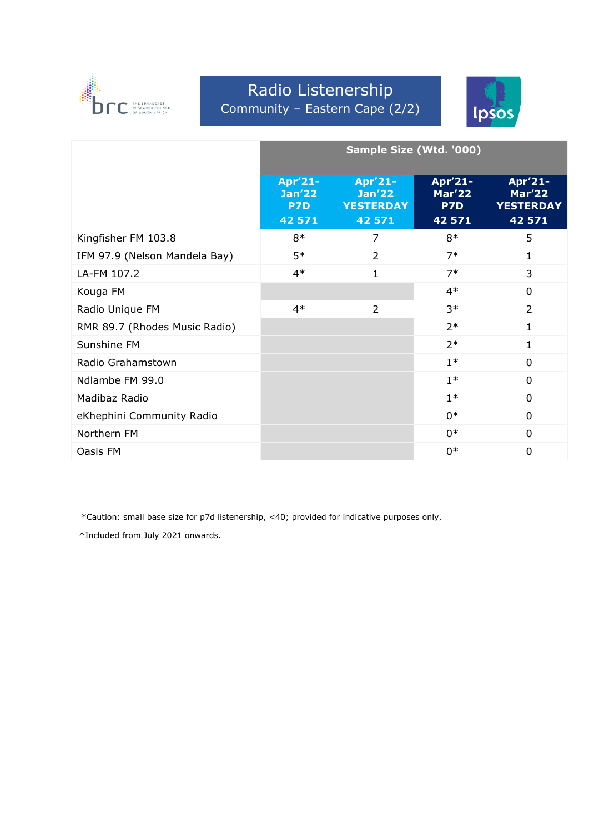

# Radio Listenership Community – Eastern Cape (2/2)



|                               | Sample Size (Wtd. '000)                   |                                                        |                                           |                                                        |
|-------------------------------|-------------------------------------------|--------------------------------------------------------|-------------------------------------------|--------------------------------------------------------|
|                               | Apr'21-<br><b>Jan'22</b><br>P7D<br>42 571 | Apr'21-<br><b>Jan'22</b><br><b>YESTERDAY</b><br>42 571 | Apr'21-<br><b>Mar'22</b><br>P7D<br>42 571 | Apr'21-<br><b>Mar'22</b><br><b>YESTERDAY</b><br>42 571 |
| Kingfisher FM 103.8           | $8*$                                      | 7                                                      | $8*$                                      | 5                                                      |
| IFM 97.9 (Nelson Mandela Bay) | $5*$                                      | $\overline{2}$                                         | $7*$                                      | 1                                                      |
| LA-FM 107.2                   | $4*$                                      | 1                                                      | $7*$                                      | 3                                                      |
| Kouga FM                      |                                           |                                                        | $4*$                                      | 0                                                      |
| Radio Unique FM               | $4*$                                      | 2                                                      | $3*$                                      | 2                                                      |
| RMR 89.7 (Rhodes Music Radio) |                                           |                                                        | $2*$                                      | 1                                                      |
| Sunshine FM                   |                                           |                                                        | $2*$                                      | 1                                                      |
| Radio Grahamstown             |                                           |                                                        | $1*$                                      | $\overline{0}$                                         |
| Ndlambe FM 99.0               |                                           |                                                        | $1*$                                      | $\overline{0}$                                         |
| Madibaz Radio                 |                                           |                                                        | $1*$                                      | 0                                                      |
| eKhephini Community Radio     |                                           |                                                        | $0*$                                      | 0                                                      |
| Northern FM                   |                                           |                                                        | $0*$                                      | 0                                                      |
| Oasis FM                      |                                           |                                                        | $0*$                                      | 0                                                      |

\*Caution: small base size for p7d listenership, <40; provided for indicative purposes only.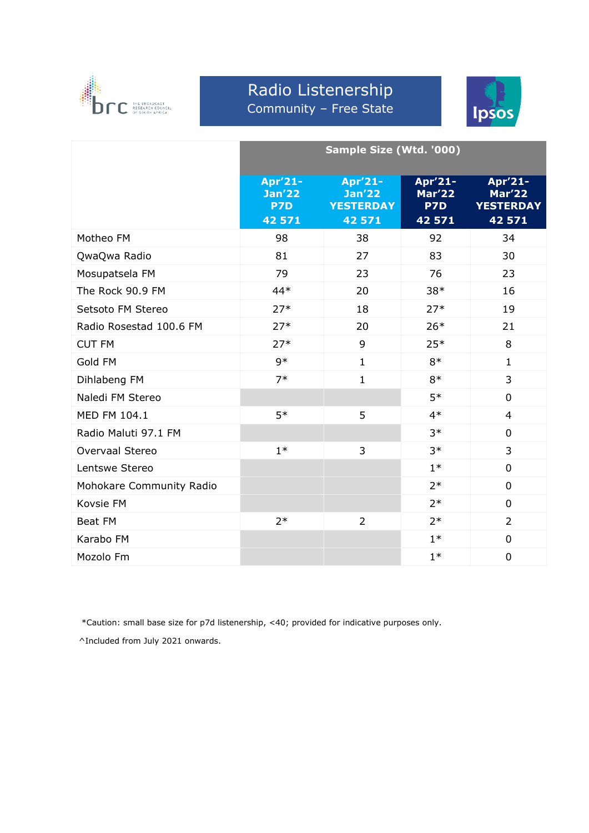

#### Radio Listenership Community – Free State



|                          | Sample Size (Wtd. '000)                |                                              |                                 |                                              |  |
|--------------------------|----------------------------------------|----------------------------------------------|---------------------------------|----------------------------------------------|--|
|                          | Apr'21-<br><b>Jan'22</b><br><b>P7D</b> | Apr'21-<br><b>Jan'22</b><br><b>YESTERDAY</b> | Apr'21-<br><b>Mar'22</b><br>P7D | Apr'21-<br><b>Mar'22</b><br><b>YESTERDAY</b> |  |
| Motheo FM                | 42 571<br>98                           | 42 571<br>38                                 | 42 571<br>92                    | 42 571<br>34                                 |  |
|                          |                                        |                                              |                                 |                                              |  |
| QwaQwa Radio             | 81                                     | 27                                           | 83                              | 30                                           |  |
| Mosupatsela FM           | 79                                     | 23                                           | 76                              | 23                                           |  |
| The Rock 90.9 FM         | $44*$                                  | 20                                           | $38*$                           | 16                                           |  |
| Setsoto FM Stereo        | $27*$                                  | 18                                           | $27*$                           | 19                                           |  |
| Radio Rosestad 100.6 FM  | $27*$                                  | 20                                           | $26*$                           | 21                                           |  |
| <b>CUT FM</b>            | $27*$                                  | 9                                            | $25*$                           | 8                                            |  |
| Gold FM                  | $9*$                                   | $\mathbf{1}$                                 | $8*$                            | $\mathbf{1}$                                 |  |
| Dihlabeng FM             | $7*$                                   | $\mathbf{1}$                                 | $8*$                            | 3                                            |  |
| Naledi FM Stereo         |                                        |                                              | $5*$                            | 0                                            |  |
| MED FM 104.1             | $5*$                                   | 5                                            | $4*$                            | $\overline{4}$                               |  |
| Radio Maluti 97.1 FM     |                                        |                                              | $3*$                            | 0                                            |  |
| Overvaal Stereo          | $1*$                                   | 3                                            | $3*$                            | 3                                            |  |
| Lentswe Stereo           |                                        |                                              | $1*$                            | $\overline{0}$                               |  |
| Mohokare Community Radio |                                        |                                              | $2*$                            | $\overline{0}$                               |  |
| Kovsie FM                |                                        |                                              | $2*$                            | 0                                            |  |
| <b>Beat FM</b>           | $2*$                                   | $\overline{2}$                               | $2*$                            | $\overline{2}$                               |  |
| Karabo FM                |                                        |                                              | $1*$                            | 0                                            |  |
| Mozolo Fm                |                                        |                                              | $1*$                            | $\mathbf 0$                                  |  |

\*Caution: small base size for p7d listenership, <40; provided for indicative purposes only.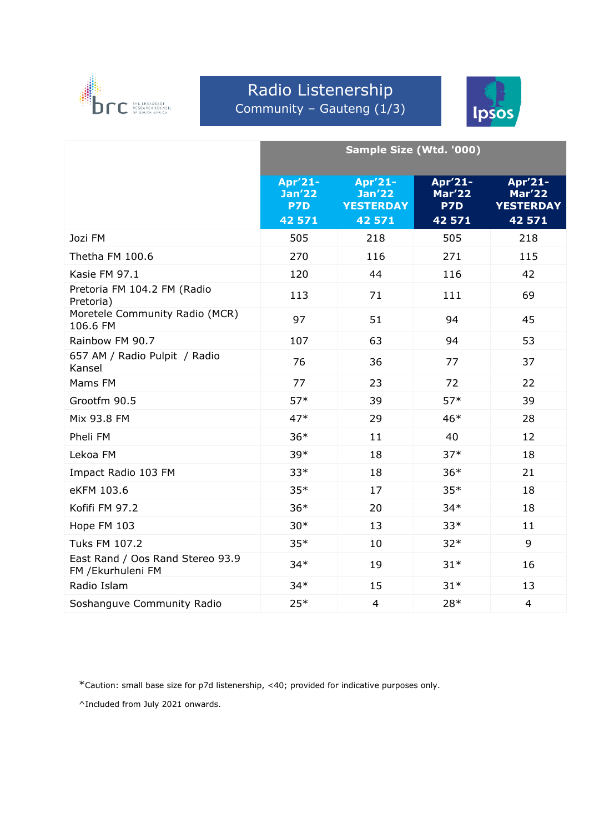

### Radio Listenership Community – Gauteng (1/3)



|                                                        | Sample Size (Wtd. '000)                   |                                                        |                                           |                                                        |
|--------------------------------------------------------|-------------------------------------------|--------------------------------------------------------|-------------------------------------------|--------------------------------------------------------|
|                                                        | Apr'21-<br><b>Jan'22</b><br>P7D<br>42 571 | Apr'21-<br><b>Jan'22</b><br><b>YESTERDAY</b><br>42 571 | Apr'21-<br><b>Mar'22</b><br>P7D<br>42 571 | Apr'21-<br><b>Mar'22</b><br><b>YESTERDAY</b><br>42 571 |
| Jozi FM                                                | 505                                       | 218                                                    | 505                                       | 218                                                    |
| Thetha FM 100.6                                        | 270                                       | 116                                                    | 271                                       | 115                                                    |
| Kasie FM 97.1                                          | 120                                       | 44                                                     | 116                                       | 42                                                     |
| Pretoria FM 104.2 FM (Radio<br>Pretoria)               | 113                                       | 71                                                     | 111                                       | 69                                                     |
| Moretele Community Radio (MCR)<br>106.6 FM             | 97                                        | 51                                                     | 94                                        | 45                                                     |
| Rainbow FM 90.7                                        | 107                                       | 63                                                     | 94                                        | 53                                                     |
| 657 AM / Radio Pulpit / Radio<br>Kansel                | 76                                        | 36                                                     | 77                                        | 37                                                     |
| Mams FM                                                | 77                                        | 23                                                     | 72                                        | 22                                                     |
| Grootfm 90.5                                           | $57*$                                     | 39                                                     | $57*$                                     | 39                                                     |
| Mix 93.8 FM                                            | $47*$                                     | 29                                                     | $46*$                                     | 28                                                     |
| Pheli FM                                               | $36*$                                     | 11                                                     | 40                                        | 12                                                     |
| Lekoa FM                                               | 39*                                       | 18                                                     | $37*$                                     | 18                                                     |
| Impact Radio 103 FM                                    | $33*$                                     | 18                                                     | $36*$                                     | 21                                                     |
| eKFM 103.6                                             | $35*$                                     | 17                                                     | $35*$                                     | 18                                                     |
| Kofifi FM 97.2                                         | $36*$                                     | 20                                                     | $34*$                                     | 18                                                     |
| Hope FM 103                                            | $30*$                                     | 13                                                     | $33*$                                     | 11                                                     |
| <b>Tuks FM 107.2</b>                                   | $35*$                                     | 10                                                     | $32*$                                     | $\overline{9}$                                         |
| East Rand / Oos Rand Stereo 93.9<br>FM / Ekurhuleni FM | $34*$                                     | 19                                                     | $31*$                                     | 16                                                     |
| Radio Islam                                            | $34*$                                     | 15                                                     | $31*$                                     | 13                                                     |
| Soshanguve Community Radio                             | $25*$                                     | $\overline{4}$                                         | 28*                                       | $\overline{4}$                                         |

\*Caution: small base size for p7d listenership, <40; provided for indicative purposes only.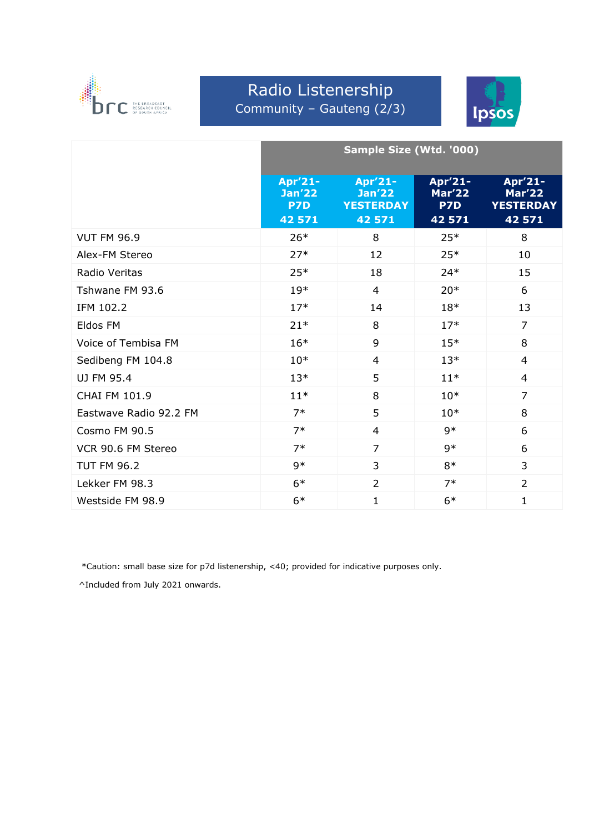

### Radio Listenership Community – Gauteng (2/3)



|                        | <b>Sample Size (Wtd. '000)</b>            |                                                        |                                           |                                                        |
|------------------------|-------------------------------------------|--------------------------------------------------------|-------------------------------------------|--------------------------------------------------------|
|                        | Apr'21-<br><b>Jan'22</b><br>P7D<br>42 571 | Apr'21-<br><b>Jan'22</b><br><b>YESTERDAY</b><br>42 571 | Apr'21-<br><b>Mar'22</b><br>P7D<br>42 571 | Apr'21-<br><b>Mar'22</b><br><b>YESTERDAY</b><br>42 571 |
| <b>VUT FM 96.9</b>     | $26*$                                     | 8                                                      | $25*$                                     | 8                                                      |
| Alex-FM Stereo         | $27*$                                     | 12                                                     | $25*$                                     | 10                                                     |
| Radio Veritas          | $25*$                                     | 18                                                     | $24*$                                     | 15                                                     |
| Tshwane FM 93.6        | $19*$                                     | $\overline{4}$                                         | $20*$                                     | 6                                                      |
| IFM 102.2              | $17*$                                     | 14                                                     | $18*$                                     | 13                                                     |
| Eldos FM               | $21*$                                     | 8                                                      | $17*$                                     | $\overline{7}$                                         |
| Voice of Tembisa FM    | $16*$                                     | 9                                                      | $15*$                                     | 8                                                      |
| Sedibeng FM 104.8      | $10*$                                     | $\overline{4}$                                         | $13*$                                     | $\overline{4}$                                         |
| UJ FM 95.4             | $13*$                                     | 5                                                      | $11*$                                     | $\overline{4}$                                         |
| CHAI FM 101.9          | $11*$                                     | 8                                                      | $10*$                                     | $\overline{7}$                                         |
| Eastwave Radio 92.2 FM | $7*$                                      | 5                                                      | $10*$                                     | 8                                                      |
| Cosmo FM 90.5          | $7*$                                      | $\overline{4}$                                         | $9*$                                      | 6                                                      |
| VCR 90.6 FM Stereo     | $7*$                                      | $\overline{7}$                                         | $9*$                                      | 6                                                      |
| <b>TUT FM 96.2</b>     | $9*$                                      | 3                                                      | $8*$                                      | 3                                                      |
| Lekker FM 98.3         | $6*$                                      | $\overline{2}$                                         | $7*$                                      | $\overline{2}$                                         |
| Westside FM 98.9       | $6*$                                      | $\mathbf{1}$                                           | $6*$                                      | $\mathbf{1}$                                           |

\*Caution: small base size for p7d listenership, <40; provided for indicative purposes only.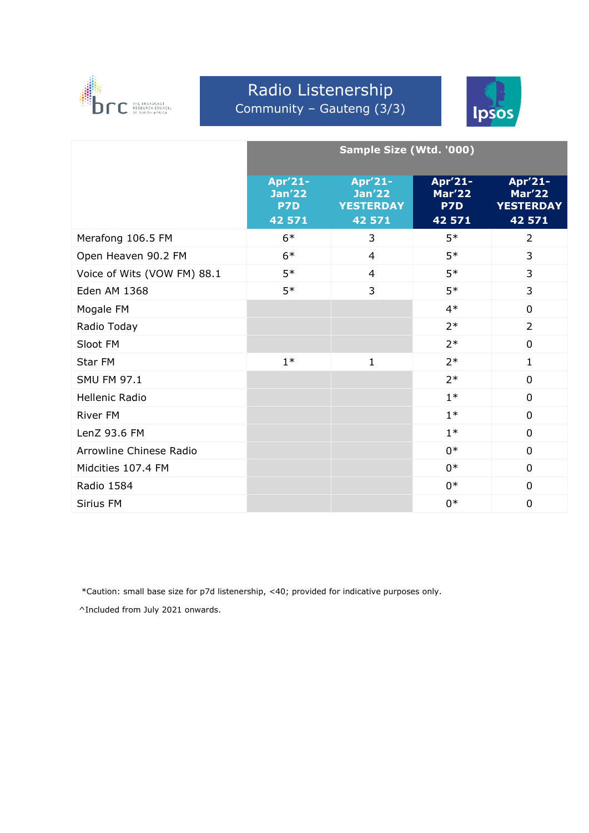

#### Radio Listenership Community – Gauteng (3/3)



|                             | Sample Size (Wtd. '000)                          |                                                        |                                           |                                                        |
|-----------------------------|--------------------------------------------------|--------------------------------------------------------|-------------------------------------------|--------------------------------------------------------|
|                             | Apr'21-<br><b>Jan'22</b><br><b>P7D</b><br>42 571 | Apr'21-<br><b>Jan'22</b><br><b>YESTERDAY</b><br>42 571 | Apr'21-<br><b>Mar'22</b><br>P7D<br>42 571 | Apr'21-<br><b>Mar'22</b><br><b>YESTERDAY</b><br>42 571 |
| Merafong 106.5 FM           | $6*$                                             | 3                                                      | $5*$                                      | $\overline{2}$                                         |
| Open Heaven 90.2 FM         | $6*$                                             | $\overline{4}$                                         | $5*$                                      | 3                                                      |
| Voice of Wits (VOW FM) 88.1 | $5*$                                             | $\overline{4}$                                         | $5*$                                      | 3                                                      |
| <b>Eden AM 1368</b>         | $5*$                                             | 3                                                      | $5*$                                      | 3                                                      |
| Mogale FM                   |                                                  |                                                        | $4*$                                      | $\overline{0}$                                         |
| Radio Today                 |                                                  |                                                        | $2*$                                      | $\overline{2}$                                         |
| Sloot FM                    |                                                  |                                                        | $2*$                                      | $\overline{0}$                                         |
| Star FM                     | $1*$                                             | $\mathbf{1}$                                           | $2*$                                      | $\mathbf{1}$                                           |
| <b>SMU FM 97.1</b>          |                                                  |                                                        | $2*$                                      | $\overline{0}$                                         |
| <b>Hellenic Radio</b>       |                                                  |                                                        | $1*$                                      | $\overline{0}$                                         |
| <b>River FM</b>             |                                                  |                                                        | $1*$                                      | $\overline{0}$                                         |
| LenZ 93.6 FM                |                                                  |                                                        | $1*$                                      | $\overline{0}$                                         |
| Arrowline Chinese Radio     |                                                  |                                                        | $0*$                                      | $\overline{0}$                                         |
| Midcities 107.4 FM          |                                                  |                                                        | $0*$                                      | $\overline{0}$                                         |
| <b>Radio 1584</b>           |                                                  |                                                        | $0*$                                      | $\overline{0}$                                         |
| Sirius FM                   |                                                  |                                                        | $0*$                                      | $\mathbf 0$                                            |

\*Caution: small base size for p7d listenership, <40; provided for indicative purposes only.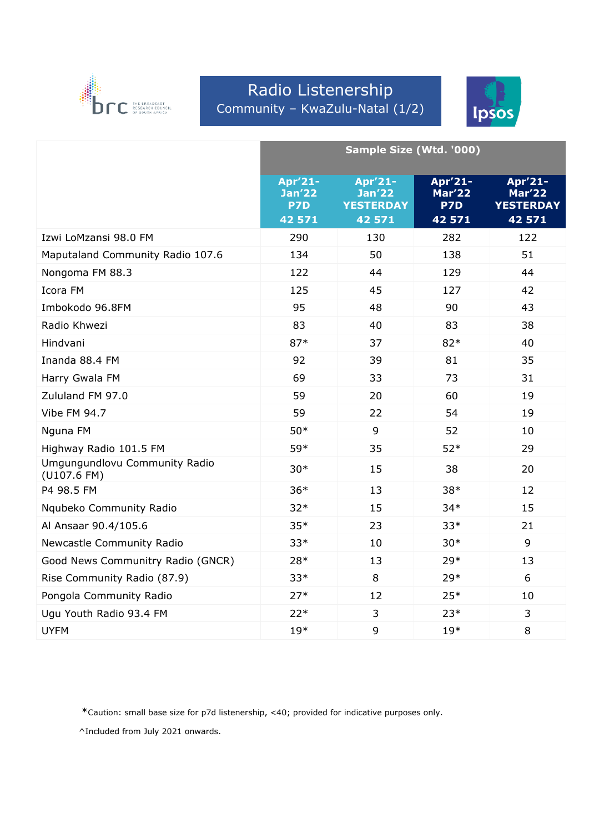

### Radio Listenership Community – KwaZulu-Natal (1/2)



|                                              | Sample Size (Wtd. '000)                   |                                                        |                                           |                                                        |
|----------------------------------------------|-------------------------------------------|--------------------------------------------------------|-------------------------------------------|--------------------------------------------------------|
|                                              | Apr'21-<br><b>Jan'22</b><br>P7D<br>42 571 | Apr'21-<br><b>Jan'22</b><br><b>YESTERDAY</b><br>42 571 | Apr'21-<br><b>Mar'22</b><br>P7D<br>42 571 | Apr'21-<br><b>Mar'22</b><br><b>YESTERDAY</b><br>42 571 |
| Izwi LoMzansi 98.0 FM                        | 290                                       | 130                                                    | 282                                       | 122                                                    |
| Maputaland Community Radio 107.6             | 134                                       | 50                                                     | 138                                       | 51                                                     |
| Nongoma FM 88.3                              | 122                                       | 44                                                     | 129                                       | 44                                                     |
| Icora FM                                     | 125                                       | 45                                                     | 127                                       | 42                                                     |
| Imbokodo 96.8FM                              | 95                                        | 48                                                     | 90                                        | 43                                                     |
| Radio Khwezi                                 | 83                                        | 40                                                     | 83                                        | 38                                                     |
| Hindvani                                     | $87*$                                     | 37                                                     | 82*                                       | 40                                                     |
| Inanda 88.4 FM                               | 92                                        | 39                                                     | 81                                        | 35                                                     |
| Harry Gwala FM                               | 69                                        | 33                                                     | 73                                        | 31                                                     |
| Zululand FM 97.0                             | 59                                        | 20                                                     | 60                                        | 19                                                     |
| <b>Vibe FM 94.7</b>                          | 59                                        | 22                                                     | 54                                        | 19                                                     |
| Nguna FM                                     | $50*$                                     | 9                                                      | 52                                        | 10                                                     |
| Highway Radio 101.5 FM                       | 59*                                       | 35                                                     | $52*$                                     | 29                                                     |
| Umgungundlovu Community Radio<br>(U107.6 FM) | $30*$                                     | 15                                                     | 38                                        | 20                                                     |
| P4 98.5 FM                                   | $36*$                                     | 13                                                     | $38*$                                     | 12                                                     |
| Nqubeko Community Radio                      | $32*$                                     | 15                                                     | $34*$                                     | 15                                                     |
| Al Ansaar 90.4/105.6                         | $35*$                                     | 23                                                     | $33*$                                     | 21                                                     |
| Newcastle Community Radio                    | $33*$                                     | 10                                                     | $30*$                                     | 9                                                      |
| Good News Communitry Radio (GNCR)            | $28*$                                     | 13                                                     | $29*$                                     | 13                                                     |
| Rise Community Radio (87.9)                  | $33*$                                     | 8                                                      | 29*                                       | 6                                                      |
| Pongola Community Radio                      | $27*$                                     | 12                                                     | $25*$                                     | 10                                                     |
| Ugu Youth Radio 93.4 FM                      | $22*$                                     | 3                                                      | $23*$                                     | 3                                                      |
| <b>UYFM</b>                                  | $19*$                                     | 9                                                      | $19*$                                     | 8                                                      |

\*Caution: small base size for p7d listenership, <40; provided for indicative purposes only.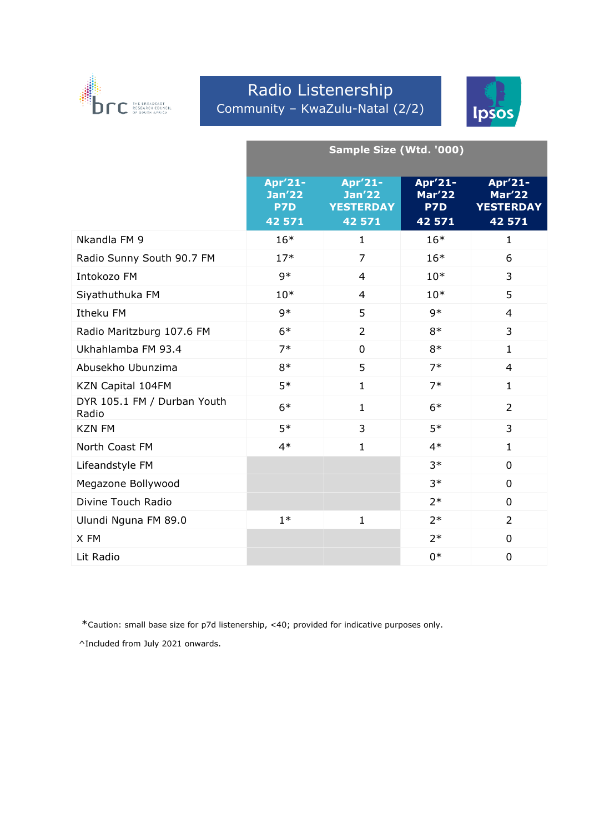

### Radio Listenership Community – KwaZulu-Natal (2/2)



|                                      | Sample Size (Wtd. '000)         |                                              |                                 |                                       |
|--------------------------------------|---------------------------------|----------------------------------------------|---------------------------------|---------------------------------------|
|                                      | Apr'21-<br><b>Jan'22</b><br>P7D | Apr'21-<br><b>Jan'22</b><br><b>YESTERDAY</b> | Apr'21-<br><b>Mar'22</b><br>P7D | Apr'21-<br>Mar'22<br><b>YESTERDAY</b> |
| Nkandla FM 9                         | 42 571<br>$16*$                 | 42 571<br>$\mathbf{1}$                       | 42 571<br>$16*$                 | 42 571<br>$\mathbf{1}$                |
|                                      |                                 |                                              |                                 |                                       |
| Radio Sunny South 90.7 FM            | $17*$                           | $\overline{7}$                               | $16*$                           | 6                                     |
| Intokozo FM                          | $9*$                            | $\overline{4}$                               | $10*$                           | 3                                     |
| Siyathuthuka FM                      | $10*$                           | $\overline{4}$                               | $10*$                           | 5                                     |
| Itheku FM                            | $9*$                            | 5                                            | $9*$                            | 4                                     |
| Radio Maritzburg 107.6 FM            | $6*$                            | $\overline{2}$                               | $8*$                            | 3                                     |
| Ukhahlamba FM 93.4                   | $7*$                            | $\overline{0}$                               | $8*$                            | $\mathbf{1}$                          |
| Abusekho Ubunzima                    | $8*$                            | 5                                            | $7*$                            | 4                                     |
| KZN Capital 104FM                    | $5*$                            | $\mathbf{1}$                                 | $7*$                            | $\mathbf{1}$                          |
| DYR 105.1 FM / Durban Youth<br>Radio | $6*$                            | $\mathbf{1}$                                 | $6*$                            | $\overline{2}$                        |
| <b>KZN FM</b>                        | $5*$                            | 3                                            | $5*$                            | 3                                     |
| North Coast FM                       | $4*$                            | $\mathbf{1}$                                 | $4*$                            | $\mathbf{1}$                          |
| Lifeandstyle FM                      |                                 |                                              | $3*$                            | $\overline{0}$                        |
| Megazone Bollywood                   |                                 |                                              | $3*$                            | 0                                     |
| Divine Touch Radio                   |                                 |                                              | $2*$                            | $\mathbf{0}$                          |
| Ulundi Nguna FM 89.0                 | $1*$                            | $\mathbf{1}$                                 | $2*$                            | $\overline{2}$                        |
| X FM                                 |                                 |                                              | $2*$                            | 0                                     |
| Lit Radio                            |                                 |                                              | $0*$                            | $\overline{0}$                        |

\*Caution: small base size for p7d listenership, <40; provided for indicative purposes only.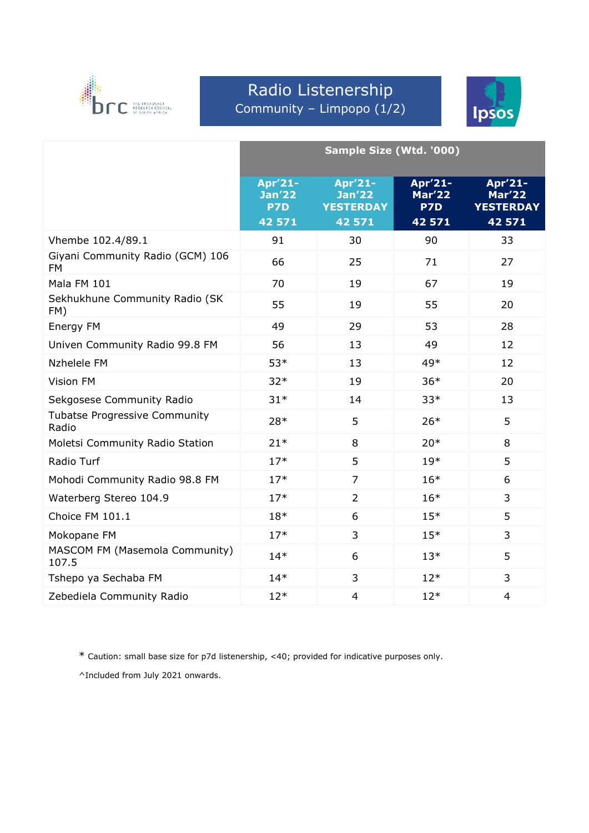

# Radio Listenership Community – Limpopo (1/2)



|                                               | Sample Size (Wtd. '000)                   |                                                        |                                           |                                                        |
|-----------------------------------------------|-------------------------------------------|--------------------------------------------------------|-------------------------------------------|--------------------------------------------------------|
|                                               | Apr'21-<br><b>Jan'22</b><br>P7D<br>42 571 | Apr'21-<br><b>Jan'22</b><br><b>YESTERDAY</b><br>42 571 | Apr'21-<br><b>Mar'22</b><br>P7D<br>42 571 | Apr'21-<br><b>Mar'22</b><br><b>YESTERDAY</b><br>42 571 |
| Vhembe 102.4/89.1                             | 91                                        | 30                                                     | 90                                        | 33                                                     |
| Giyani Community Radio (GCM) 106<br><b>FM</b> | 66                                        | 25                                                     | 71                                        | 27                                                     |
| Mala FM 101                                   | 70                                        | 19                                                     | 67                                        | 19                                                     |
| Sekhukhune Community Radio (SK<br>FM)         | 55                                        | 19                                                     | 55                                        | 20                                                     |
| Energy FM                                     | 49                                        | 29                                                     | 53                                        | 28                                                     |
| Univen Community Radio 99.8 FM                | 56                                        | 13                                                     | 49                                        | 12                                                     |
| Nzhelele FM                                   | $53*$                                     | 13                                                     | 49*                                       | 12                                                     |
| Vision FM                                     | $32*$                                     | 19                                                     | $36*$                                     | 20                                                     |
| Sekgosese Community Radio                     | $31*$                                     | 14                                                     | $33*$                                     | 13                                                     |
| <b>Tubatse Progressive Community</b><br>Radio | 28*                                       | 5                                                      | $26*$                                     | 5                                                      |
| Moletsi Community Radio Station               | $21*$                                     | 8                                                      | $20*$                                     | 8                                                      |
| Radio Turf                                    | $17*$                                     | 5                                                      | $19*$                                     | 5                                                      |
| Mohodi Community Radio 98.8 FM                | $17*$                                     | $\overline{7}$                                         | $16*$                                     | 6                                                      |
| Waterberg Stereo 104.9                        | $17*$                                     | $\overline{2}$                                         | $16*$                                     | 3                                                      |
| Choice FM 101.1                               | $18*$                                     | 6                                                      | $15*$                                     | 5                                                      |
| Mokopane FM                                   | $17*$                                     | 3                                                      | $15*$                                     | 3                                                      |
| MASCOM FM (Masemola Community)<br>107.5       | $14*$                                     | 6                                                      | $13*$                                     | 5                                                      |
| Tshepo ya Sechaba FM                          | $14*$                                     | 3                                                      | $12*$                                     | 3                                                      |
| Zebediela Community Radio                     | $12*$                                     | $\overline{4}$                                         | $12*$                                     | $\overline{4}$                                         |

\* Caution: small base size for p7d listenership, <40; provided for indicative purposes only.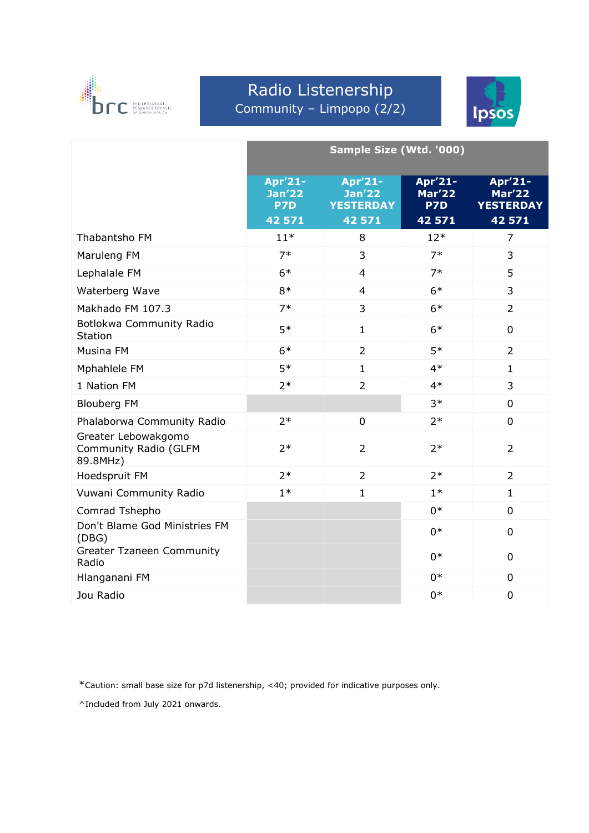

### Radio Listenership Community – Limpopo (2/2)



|                                                          | Sample Size (Wtd. '000)                   |                                                        |                                           |                                                        |  |
|----------------------------------------------------------|-------------------------------------------|--------------------------------------------------------|-------------------------------------------|--------------------------------------------------------|--|
|                                                          | Apr'21-<br><b>Jan'22</b><br>P7D<br>42 571 | Apr'21-<br><b>Jan'22</b><br><b>YESTERDAY</b><br>42 571 | Apr'21-<br><b>Mar'22</b><br>P7D<br>42 571 | Apr'21-<br><b>Mar'22</b><br><b>YESTERDAY</b><br>42 571 |  |
| Thabantsho FM                                            | $11*$                                     | 8                                                      | $12*$                                     | $\overline{7}$                                         |  |
| Maruleng FM                                              | $7*$                                      | 3                                                      | $7*$                                      | 3                                                      |  |
| Lephalale FM                                             | $6*$                                      | $\overline{4}$                                         | $7*$                                      | 5                                                      |  |
| Waterberg Wave                                           | $8*$                                      | $\overline{4}$                                         | $6*$                                      | 3                                                      |  |
| Makhado FM 107.3                                         | $7*$                                      | 3                                                      | $6*$                                      | $\overline{2}$                                         |  |
| Botlokwa Community Radio<br><b>Station</b>               | $5*$                                      | $\mathbf{1}$                                           | $6*$                                      | $\mathbf 0$                                            |  |
| Musina FM                                                | $6*$                                      | $\overline{2}$                                         | $5*$                                      | 2                                                      |  |
| Mphahlele FM                                             | $5*$                                      | $\mathbf{1}$                                           | $4*$                                      | $\mathbf{1}$                                           |  |
| 1 Nation FM                                              | $2*$                                      | $\overline{2}$                                         | $4*$                                      | 3                                                      |  |
| <b>Blouberg FM</b>                                       |                                           |                                                        | $3*$                                      | $\Omega$                                               |  |
| Phalaborwa Community Radio                               | $2*$                                      | $\overline{0}$                                         | $2*$                                      | $\mathbf 0$                                            |  |
| Greater Lebowakgomo<br>Community Radio (GLFM<br>89.8MHz) | $2*$                                      | $\overline{2}$                                         | $2*$                                      | $\overline{2}$                                         |  |
| Hoedspruit FM                                            | $2*$                                      | $\overline{2}$                                         | $2*$                                      | $\overline{2}$                                         |  |
| Vuwani Community Radio                                   | $1*$                                      | $\mathbf{1}$                                           | $1*$                                      | $\mathbf{1}$                                           |  |
| Comrad Tshepho                                           |                                           |                                                        | $0*$                                      | $\mathbf 0$                                            |  |
| Don't Blame God Ministries FM<br>(DBG)                   |                                           |                                                        | $0*$                                      | $\mathbf 0$                                            |  |
| <b>Greater Tzaneen Community</b><br>Radio                |                                           |                                                        | $0*$                                      | $\mathbf 0$                                            |  |
| Hlanganani FM                                            |                                           |                                                        | $0*$                                      | $\overline{0}$                                         |  |
| Jou Radio                                                |                                           |                                                        | $0*$                                      | $\overline{0}$                                         |  |

\*Caution: small base size for p7d listenership, <40; provided for indicative purposes only.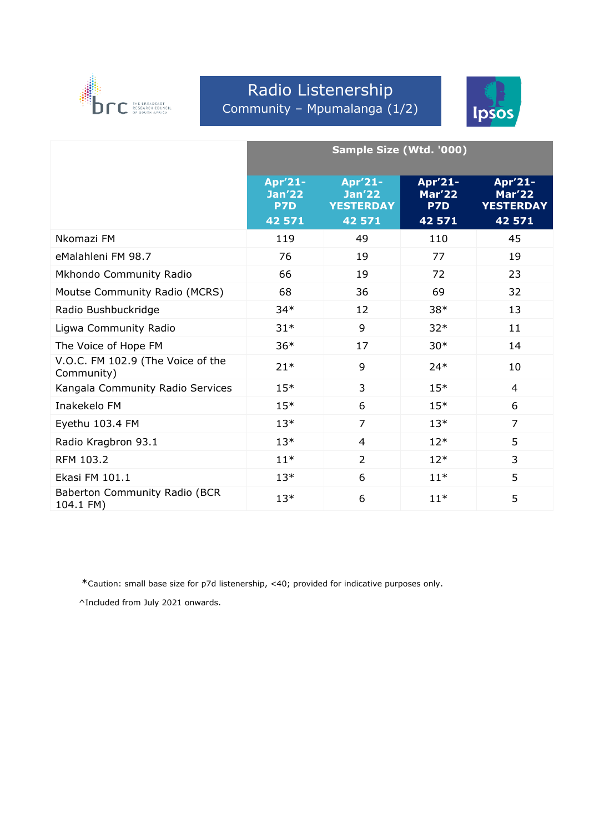

### Radio Listenership Community – Mpumalanga (1/2)



|                                                 | Sample Size (Wtd. '000)                   |                                                        |                                           |                                                        |
|-------------------------------------------------|-------------------------------------------|--------------------------------------------------------|-------------------------------------------|--------------------------------------------------------|
|                                                 | Apr'21-<br><b>Jan'22</b><br>P7D<br>42 571 | Apr'21-<br><b>Jan'22</b><br><b>YESTERDAY</b><br>42 571 | Apr'21-<br><b>Mar'22</b><br>P7D<br>42 571 | Apr'21-<br><b>Mar'22</b><br><b>YESTERDAY</b><br>42 571 |
| Nkomazi FM                                      | 119                                       | 49                                                     | 110                                       | 45                                                     |
| eMalahleni FM 98.7                              | 76                                        | 19                                                     | 77                                        | 19                                                     |
| Mkhondo Community Radio                         | 66                                        | 19                                                     | 72                                        | 23                                                     |
| Moutse Community Radio (MCRS)                   | 68                                        | 36                                                     | 69                                        | 32                                                     |
| Radio Bushbuckridge                             | $34*$                                     | 12                                                     | $38*$                                     | 13                                                     |
| Ligwa Community Radio                           | $31*$                                     | 9                                                      | $32*$                                     | 11                                                     |
| The Voice of Hope FM                            | $36*$                                     | 17                                                     | $30*$                                     | 14                                                     |
| V.O.C. FM 102.9 (The Voice of the<br>Community) | $21*$                                     | 9                                                      | $24*$                                     | 10                                                     |
| Kangala Community Radio Services                | $15*$                                     | 3                                                      | $15*$                                     | $\overline{4}$                                         |
| Inakekelo FM                                    | $15*$                                     | 6                                                      | $15*$                                     | 6                                                      |
| Eyethu 103.4 FM                                 | $13*$                                     | $\overline{7}$                                         | $13*$                                     | $\overline{7}$                                         |
| Radio Kragbron 93.1                             | $13*$                                     | 4                                                      | $12*$                                     | 5                                                      |
| RFM 103.2                                       | $11*$                                     | $\overline{2}$                                         | $12*$                                     | 3                                                      |
| Ekasi FM 101.1                                  | $13*$                                     | 6                                                      | $11*$                                     | 5                                                      |
| Baberton Community Radio (BCR<br>104.1 FM)      | $13*$                                     | 6                                                      | $11*$                                     | 5                                                      |

\*Caution: small base size for p7d listenership, <40; provided for indicative purposes only.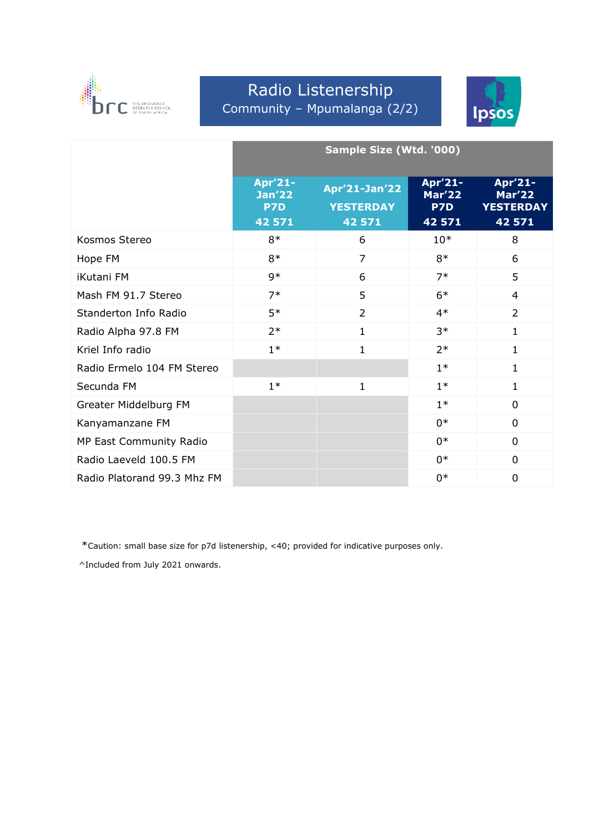

# Radio Listenership Community – Mpumalanga (2/2)



|                             | Sample Size (Wtd. '000)                   |                                             |                                           |                                                        |
|-----------------------------|-------------------------------------------|---------------------------------------------|-------------------------------------------|--------------------------------------------------------|
|                             | Apr'21-<br><b>Jan'22</b><br>P7D<br>42 571 | Apr'21-Jan'22<br><b>YESTERDAY</b><br>42 571 | Apr'21-<br><b>Mar'22</b><br>P7D<br>42 571 | Apr'21-<br><b>Mar'22</b><br><b>YESTERDAY</b><br>42 571 |
| Kosmos Stereo               | $8*$                                      | 6                                           | $10*$                                     | 8                                                      |
| Hope FM                     | $8*$                                      | $\overline{7}$                              | $8*$                                      | 6                                                      |
| <b>iKutani FM</b>           | $9*$                                      | 6                                           | $7*$                                      | 5                                                      |
| Mash FM 91.7 Stereo         | $7*$                                      | 5                                           | $6*$                                      | $\overline{4}$                                         |
| Standerton Info Radio       | $5*$                                      | $\overline{2}$                              | $4*$                                      | $\overline{2}$                                         |
| Radio Alpha 97.8 FM         | $2*$                                      | $\mathbf{1}$                                | $3*$                                      | $\mathbf{1}$                                           |
| Kriel Info radio            | $1*$                                      | 1                                           | $2*$                                      | 1                                                      |
| Radio Ermelo 104 FM Stereo  |                                           |                                             | $1*$                                      | $\mathbf{1}$                                           |
| Secunda FM                  | $1*$                                      | 1                                           | $1*$                                      | $\mathbf{1}$                                           |
| Greater Middelburg FM       |                                           |                                             | $1*$                                      | $\Omega$                                               |
| Kanyamanzane FM             |                                           |                                             | $0*$                                      | $\Omega$                                               |
| MP East Community Radio     |                                           |                                             | $0*$                                      | $\mathbf{0}$                                           |
| Radio Laeveld 100.5 FM      |                                           |                                             | $0*$                                      | $\mathbf{0}$                                           |
| Radio Platorand 99.3 Mhz FM |                                           |                                             | $0*$                                      | 0                                                      |

\*Caution: small base size for p7d listenership, <40; provided for indicative purposes only.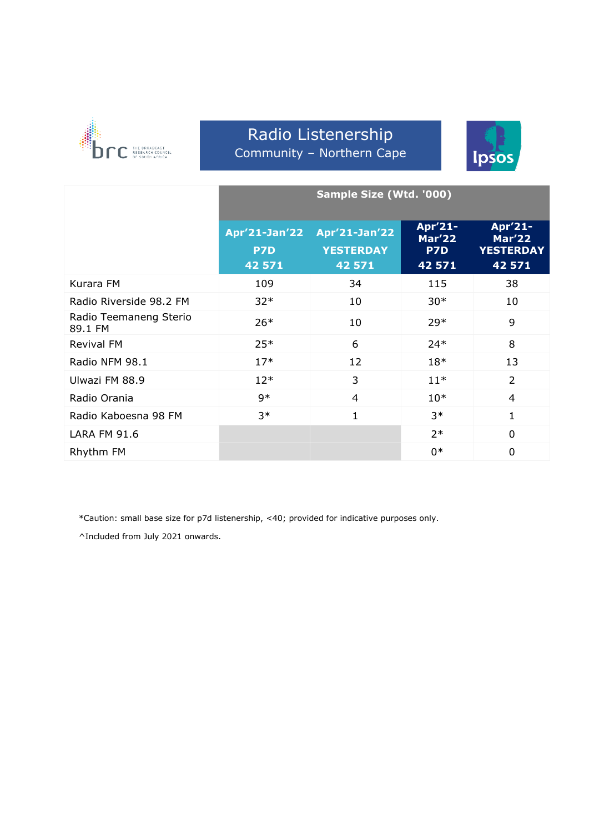

#### Radio Listenership Community – Northern Cape



|                                   | Sample Size (Wtd. '000)        |                                             |                                           |                                                        |
|-----------------------------------|--------------------------------|---------------------------------------------|-------------------------------------------|--------------------------------------------------------|
|                                   | Apr'21-Jan'22<br>P7D<br>42 571 | Apr'21-Jan'22<br><b>YESTERDAY</b><br>42 571 | Apr'21-<br><b>Mar'22</b><br>P7D<br>42 571 | Apr'21-<br><b>Mar'22</b><br><b>YESTERDAY</b><br>42 571 |
| Kurara FM                         | 109                            | 34                                          | 115                                       | 38                                                     |
| Radio Riverside 98.2 FM           | $32*$                          | 10                                          | $30*$                                     | 10                                                     |
| Radio Teemaneng Sterio<br>89.1 FM | $26*$                          | 10                                          | $29*$                                     | 9                                                      |
| Revival FM                        | $25*$                          | 6                                           | $24*$                                     | 8                                                      |
| Radio NFM 98.1                    | $17*$                          | 12                                          | $18*$                                     | 13                                                     |
| Ulwazi FM 88.9                    | $12*$                          | 3                                           | $11*$                                     | 2                                                      |
| Radio Orania                      | $9*$                           | 4                                           | $10*$                                     | $\overline{4}$                                         |
| Radio Kaboesna 98 FM              | $3*$                           | $\mathbf{1}$                                | $3*$                                      | 1                                                      |
| <b>LARA FM 91.6</b>               |                                |                                             | $2*$                                      | $\mathbf 0$                                            |
| Rhythm FM                         |                                |                                             | $0*$                                      | $\overline{0}$                                         |

\*Caution: small base size for p7d listenership, <40; provided for indicative purposes only.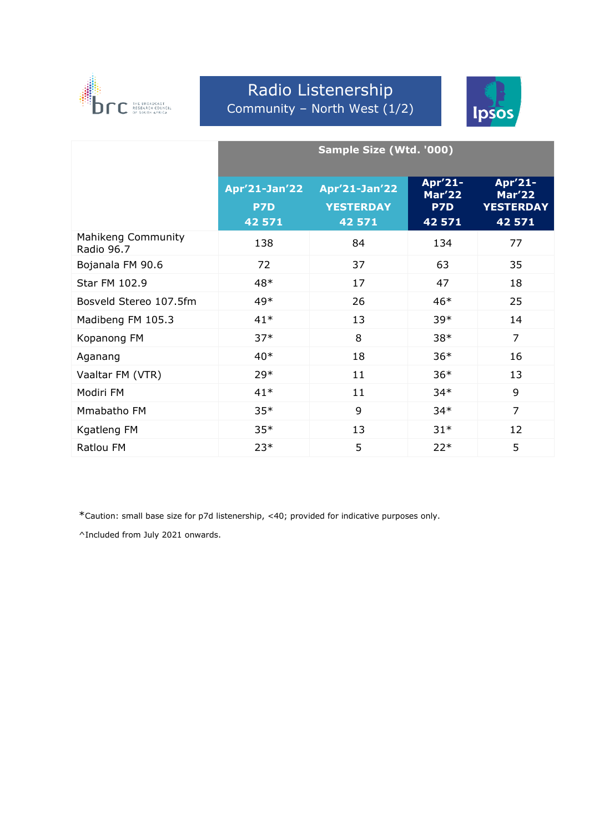

#### Radio Listenership Community – North West (1/2)



|                                  | Sample Size (Wtd. '000)               |                                             |                                           |                                                        |
|----------------------------------|---------------------------------------|---------------------------------------------|-------------------------------------------|--------------------------------------------------------|
|                                  | <b>Apr'21-Jan'22</b><br>P7D<br>42 571 | Apr'21-Jan'22<br><b>YESTERDAY</b><br>42 571 | Apr'21-<br><b>Mar'22</b><br>P7D<br>42 571 | Apr'21-<br><b>Mar'22</b><br><b>YESTERDAY</b><br>42 571 |
| Mahikeng Community<br>Radio 96.7 | 138                                   | 84                                          | 134                                       | 77                                                     |
| Bojanala FM 90.6                 | 72                                    | 37                                          | 63                                        | 35                                                     |
| Star FM 102.9                    | 48*                                   | 17                                          | 47                                        | 18                                                     |
| Bosveld Stereo 107.5fm           | 49*                                   | 26                                          | $46*$                                     | 25                                                     |
| Madibeng FM 105.3                | $41*$                                 | 13                                          | $39*$                                     | 14                                                     |
| Kopanong FM                      | $37*$                                 | 8                                           | $38*$                                     | $\overline{7}$                                         |
| Aganang                          | $40*$                                 | 18                                          | $36*$                                     | 16                                                     |
| Vaaltar FM (VTR)                 | $29*$                                 | 11                                          | $36*$                                     | 13                                                     |
| Modiri FM                        | $41*$                                 | 11                                          | $34*$                                     | 9                                                      |
| Mmabatho FM                      | $35*$                                 | 9                                           | $34*$                                     | $\overline{7}$                                         |
| Kgatleng FM                      | $35*$                                 | 13                                          | $31*$                                     | 12                                                     |
| <b>Ratlou FM</b>                 | $23*$                                 | 5                                           | $22*$                                     | 5                                                      |

\*Caution: small base size for p7d listenership, <40; provided for indicative purposes only.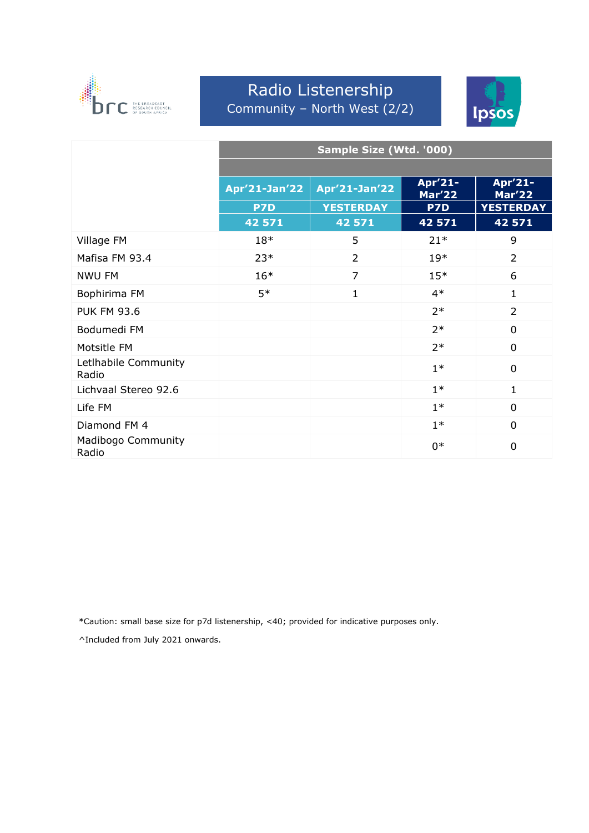

#### Radio Listenership Community – North West (2/2)



|                               | Sample Size (Wtd. '000) |                  |                          |                          |  |
|-------------------------------|-------------------------|------------------|--------------------------|--------------------------|--|
|                               |                         |                  |                          |                          |  |
|                               | Apr'21-Jan'22           | Apr'21-Jan'22    | Apr'21-<br><b>Mar'22</b> | Apr'21-<br><b>Mar'22</b> |  |
|                               | P7D                     | <b>YESTERDAY</b> | P7D                      | <b>YESTERDAY</b>         |  |
|                               | 42 571                  | 42 571           | 42 571                   | 42 571                   |  |
| Village FM                    | $18*$                   | 5                | $21*$                    | 9                        |  |
| Mafisa FM 93.4                | $23*$                   | $\overline{2}$   | $19*$                    | $\overline{2}$           |  |
| NWU FM                        | $16*$                   | $\overline{7}$   | $15*$                    | 6                        |  |
| Bophirima FM                  | $5*$                    | $\mathbf{1}$     | $4*$                     | $\mathbf{1}$             |  |
| <b>PUK FM 93.6</b>            |                         |                  | $2*$                     | $\overline{2}$           |  |
| Bodumedi FM                   |                         |                  | $2*$                     | $\overline{0}$           |  |
| Motsitle FM                   |                         |                  | $2*$                     | 0                        |  |
| Letlhabile Community<br>Radio |                         |                  | $1*$                     | 0                        |  |
| Lichvaal Stereo 92.6          |                         |                  | $1*$                     | $\mathbf{1}$             |  |
| Life FM                       |                         |                  | $1*$                     | 0                        |  |
| Diamond FM 4                  |                         |                  | $1*$                     | $\mathbf{0}$             |  |
| Madibogo Community<br>Radio   |                         |                  | $0*$                     | $\overline{0}$           |  |

\*Caution: small base size for p7d listenership, <40; provided for indicative purposes only.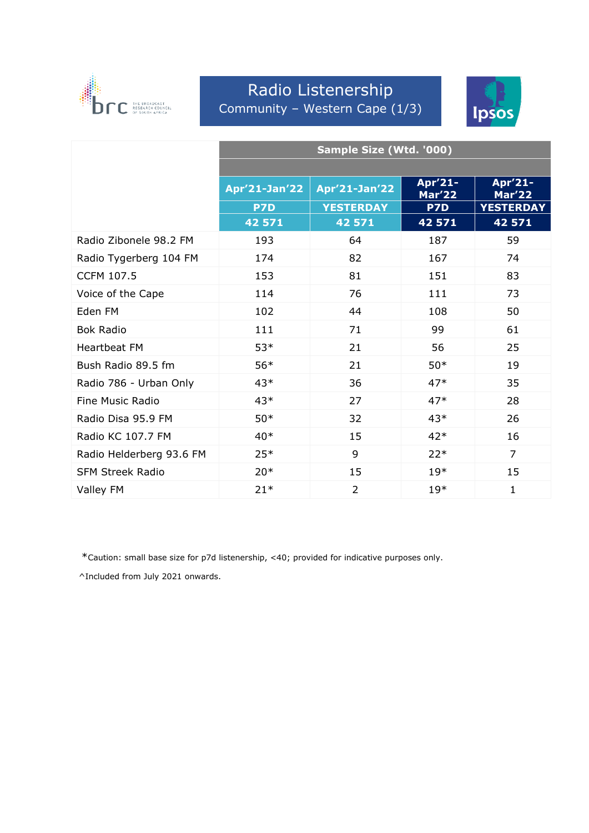

#### Radio Listenership Community – Western Cape (1/3)



|                          | Sample Size (Wtd. '000) |                      |                   |                          |
|--------------------------|-------------------------|----------------------|-------------------|--------------------------|
|                          |                         |                      |                   |                          |
|                          | Apr'21-Jan'22           | <b>Apr'21-Jan'22</b> | Apr'21-<br>Mar'22 | Apr'21-<br><b>Mar'22</b> |
|                          | P7D                     | <b>YESTERDAY</b>     | P7D               | <b>YESTERDAY</b>         |
|                          | 42 571                  | 42 571               | 42 571            | 42 571                   |
| Radio Zibonele 98.2 FM   | 193                     | 64                   | 187               | 59                       |
| Radio Tygerberg 104 FM   | 174                     | 82                   | 167               | 74                       |
| <b>CCFM 107.5</b>        | 153                     | 81                   | 151               | 83                       |
| Voice of the Cape        | 114                     | 76                   | 111               | 73                       |
| Eden FM                  | 102                     | 44                   | 108               | 50                       |
| <b>Bok Radio</b>         | 111                     | 71                   | 99                | 61                       |
| <b>Heartbeat FM</b>      | 53*                     | 21                   | 56                | 25                       |
| Bush Radio 89.5 fm       | $56*$                   | 21                   | $50*$             | 19                       |
| Radio 786 - Urban Only   | $43*$                   | 36                   | $47*$             | 35                       |
| <b>Fine Music Radio</b>  | $43*$                   | 27                   | $47*$             | 28                       |
| Radio Disa 95.9 FM       | $50*$                   | 32                   | $43*$             | 26                       |
| Radio KC 107.7 FM        | $40*$                   | 15                   | $42*$             | 16                       |
| Radio Helderberg 93.6 FM | $25*$                   | 9                    | $22*$             | $\overline{7}$           |
| <b>SFM Streek Radio</b>  | $20*$                   | 15                   | $19*$             | 15                       |
| Valley FM                | $21*$                   | $\overline{2}$       | $19*$             | $\mathbf{1}$             |

\*Caution: small base size for p7d listenership, <40; provided for indicative purposes only.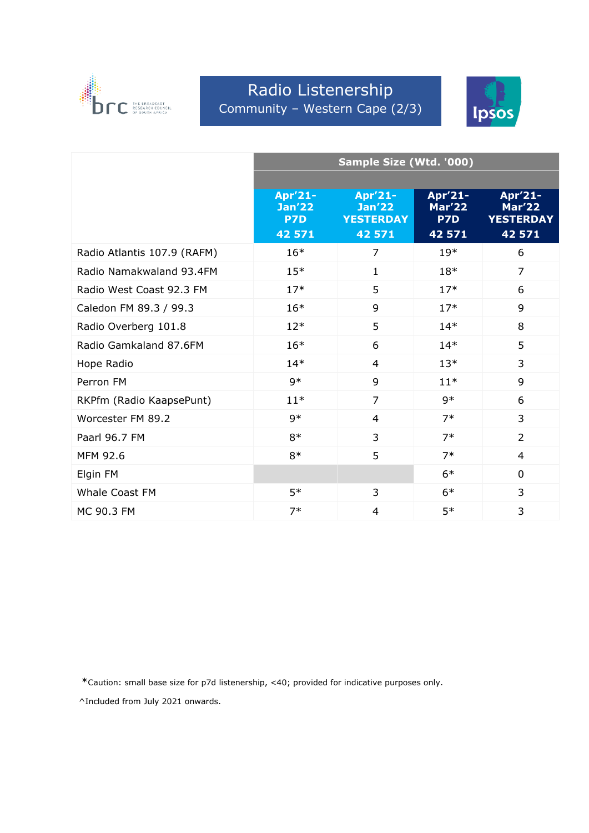

# Radio Listenership Community – Western Cape (2/3)



|                             | Sample Size (Wtd. '000)         |                                              |                          |                                              |  |
|-----------------------------|---------------------------------|----------------------------------------------|--------------------------|----------------------------------------------|--|
|                             |                                 |                                              |                          |                                              |  |
|                             | Apr'21-<br><b>Jan'22</b><br>P7D | Apr'21-<br><b>Jan'22</b><br><b>YESTERDAY</b> | Apr'21-<br>Mar'22<br>P7D | Apr'21-<br><b>Mar'22</b><br><b>YESTERDAY</b> |  |
|                             | 42 571                          | 42 571                                       | 42 571                   | 42 571                                       |  |
| Radio Atlantis 107.9 (RAFM) | $16*$                           | $\overline{7}$                               | $19*$                    | 6                                            |  |
| Radio Namakwaland 93.4FM    | $15*$                           | 1                                            | $18*$                    | 7                                            |  |
| Radio West Coast 92.3 FM    | $17*$                           | 5                                            | $17*$                    | 6                                            |  |
| Caledon FM 89.3 / 99.3      | $16*$                           | 9                                            | $17*$                    | 9                                            |  |
| Radio Overberg 101.8        | $12*$                           | 5                                            | $14*$                    | 8                                            |  |
| Radio Gamkaland 87.6FM      | $16*$                           | 6                                            | $14*$                    | 5                                            |  |
| Hope Radio                  | $14*$                           | $\overline{4}$                               | $13*$                    | 3                                            |  |
| Perron FM                   | $9*$                            | 9                                            | $11*$                    | 9                                            |  |
| RKPfm (Radio KaapsePunt)    | $11*$                           | $\overline{7}$                               | 9*                       | 6                                            |  |
| Worcester FM 89.2           | $9*$                            | $\overline{4}$                               | $7*$                     | 3                                            |  |
| Paarl 96.7 FM               | $8*$                            | 3                                            | $7*$                     | $\overline{2}$                               |  |
| MFM 92.6                    | $8*$                            | 5                                            | $7*$                     | $\overline{4}$                               |  |
| Elgin FM                    |                                 |                                              | $6*$                     | $\mathbf 0$                                  |  |
| <b>Whale Coast FM</b>       | $5*$                            | 3                                            | $6*$                     | 3                                            |  |
| MC 90.3 FM                  | $7*$                            | 4                                            | $5*$                     | 3                                            |  |

\*Caution: small base size for p7d listenership, <40; provided for indicative purposes only.